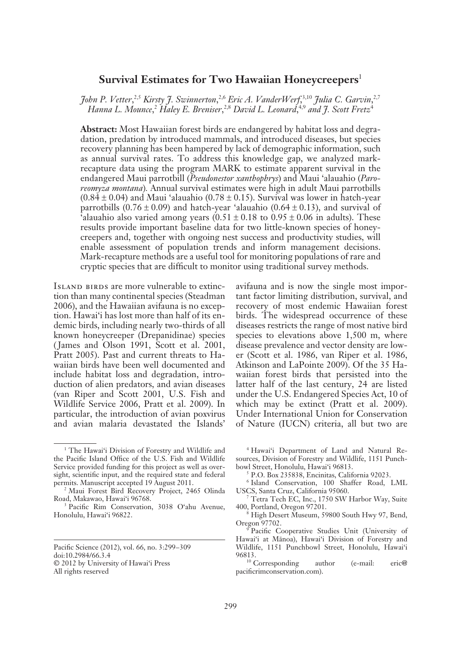# **Survival Estimates for Two Hawaiian Honeycreepers**<sup>1</sup>

*John P. Vetter*, 2,5 *Kirsty J. Swinnerton*, 2,6 *Eric A. VanderWerf*, 3,10 *Julia C. Garvin*, 2,7 Hanna L. Mounce,<sup>2</sup> Haley E. Breniser,<sup>2,8</sup> David L. Leonard,<sup>4,9</sup> and J. Scott Fretz<sup>4</sup>

**Abstract:** Most Hawaiian forest birds are endangered by habitat loss and degradation, predation by introduced mammals, and introduced diseases, but species recovery planning has been hampered by lack of demographic information, such as annual survival rates. To address this knowledge gap, we analyzed markrecapture data using the program MARK to estimate apparent survival in the endangered Maui parrotbill (*Pseudonestor xanthophrys*) and Maui 'alauahio (*Paroreomyza montana*)*.* Annual survival estimates were high in adult Maui parrotbills  $(0.84 \pm 0.04)$  and Maui 'alauahio  $(0.78 \pm 0.15)$ . Survival was lower in hatch-year parrotbills (0.76  $\pm$  0.09) and hatch-year 'alauahio (0.64  $\pm$  0.13), and survival of 'alauahio also varied among years  $(0.51 \pm 0.18 \text{ to } 0.95 \pm 0.06 \text{ in adults})$ . These results provide important baseline data for two little-known species of honeycreepers and, together with ongoing nest success and productivity studies, will enable assessment of population trends and inform management decisions. Mark-recapture methods are a useful tool for monitoring populations of rare and cryptic species that are difficult to monitor using traditional survey methods.

ISLAND BIRDS are more vulnerable to extinction than many continental species (Steadman 2006), and the Hawaiian avifauna is no exception. Hawai'i has lost more than half of its endemic birds, including nearly two-thirds of all known honeycreeper (Drepanidinae) species (James and Olson 1991, Scott et al. 2001, Pratt 2005). Past and current threats to Hawaiian birds have been well documented and include habitat loss and degradation, introduction of alien predators, and avian diseases (van Riper and Scott 2001, U.S. Fish and Wildlife Service 2006, Pratt et al. 2009). In particular, the introduction of avian poxvirus and avian malaria devastated the Islands'

avifauna and is now the single most important factor limiting distribution, survival, and recovery of most endemic Hawaiian forest birds. The widespread occurrence of these diseases restricts the range of most native bird species to elevations above 1,500 m, where disease prevalence and vector density are lower (Scott et al. 1986, van Riper et al. 1986, Atkinson and LaPointe 2009). Of the 35 Hawaiian forest birds that persisted into the latter half of the last century, 24 are listed under the U.S. Endangered Species Act, 10 of which may be extinct (Pratt et al. 2009). Under International Union for Conservation of Nature (IUCN) criteria, all but two are

4 Hawai'i Department of Land and Natural Resources, Division of Forestry and Wildlife, 1151 Punchbowl Street, Honolulu, Hawai'i 96813.

5 P.O. Box 235838, Encinitas, California 92023.

6 Island Conservation, 100 Shaffer Road, LML USCS, Santa Cruz, California 95060.

7 Tetra Tech EC, Inc., 1750 SW Harbor Way, Suite 400, Portland, Oregon 97201.

8 High Desert Museum, 59800 South Hwy 97, Bend, Oregon 97702.

9 Pacific Cooperative Studies Unit (University of Hawai'i at Mänoa), Hawai'i Division of Forestry and Wildlife, 1151 Punchbowl Street, Honolulu, Hawai'i 96813.

<sup>10</sup> Corresponding author (e-mail: eric@ pacificrimconservation.com).

<sup>&</sup>lt;sup>1</sup> The Hawai'i Division of Forestry and Wildlife and the Pacific Island Office of the U.S. Fish and Wildlife Service provided funding for this project as well as oversight, scientific input, and the required state and federal permits. Manuscript accepted 19 August 2011.

<sup>2</sup> Maui Forest Bird Recovery Project, 2465 Olinda Road, Makawao, Hawai'i 96768.

<sup>3</sup> Pacific Rim Conservation, 3038 O'ahu Avenue, Honolulu, Hawai'i 96822.

Pacific Science (2012), vol. 66, no. 3:299–309 doi:10.2984/66.3.4 © 2012 by University of Hawai'i Press All rights reserved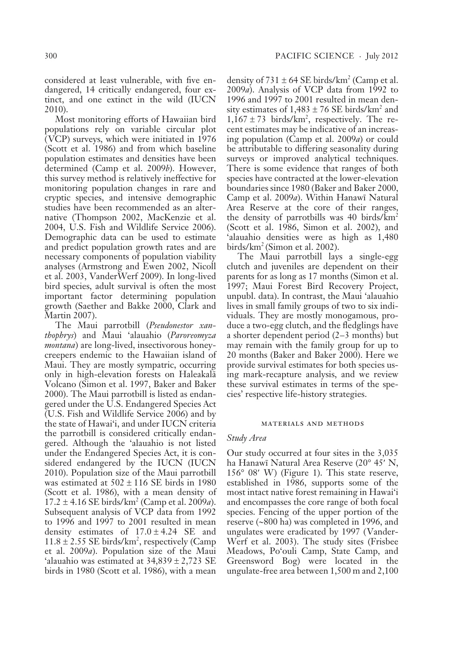considered at least vulnerable, with five endangered, 14 critically endangered, four extinct, and one extinct in the wild (IUCN 2010).

Most monitoring efforts of Hawaiian bird populations rely on variable circular plot ( VCP) surveys, which were initiated in 1976 (Scott et al. 1986) and from which baseline population estimates and densities have been determined (Camp et al. 2009*b*). However, this survey method is relatively ineffective for monitoring population changes in rare and cryptic species, and intensive demographic studies have been recommended as an alternative (Thompson 2002, MacKenzie et al. 2004, U.S. Fish and Wildlife Service 2006). Demographic data can be used to estimate and predict population growth rates and are necessary components of population viability analyses (Armstrong and Ewen 2002, Nicoll et al. 2003, VanderWerf 2009). In long-lived bird species, adult survival is often the most important factor determining population growth (Saether and Bakke 2000, Clark and Martin 2007).

The Maui parrotbill (*Pseudonestor xanthophrys*) and Maui 'alauahio (*Paroreomyza montana*) are long-lived, insectivorous honeycreepers endemic to the Hawaiian island of Maui. They are mostly sympatric, occurring only in high-elevation forests on Haleakalä Volcano (Simon et al. 1997, Baker and Baker 2000). The Maui parrotbill is listed as endangered under the U.S. Endangered Species Act (U.S. Fish and Wildlife Service 2006) and by the state of Hawai'i, and under IUCN criteria the parrotbill is considered critically endangered. Although the 'alauahio is not listed under the Endangered Species Act, it is considered endangered by the IUCN (IUCN 2010). Population size of the Maui parrotbill was estimated at  $502 \pm 116$  SE birds in 1980 (Scott et al. 1986), with a mean density of 17.2 ± 4.16 SE birds/km2 (Camp et al. 2009*a*). Subsequent analysis of VCP data from 1992 to 1996 and 1997 to 2001 resulted in mean density estimates of  $17.0 \pm 4.24$  SE and  $11.8 \pm 2.55$  SE birds/km<sup>2</sup>, respectively (Camp) et al. 2009*a*). Population size of the Maui 'alauahio was estimated at  $34,839 \pm 2,723$  SE birds in 1980 (Scott et al. 1986), with a mean

density of  $731 \pm 64$  SE birds/km<sup>2</sup> (Camp et al. 2009*a*). Analysis of VCP data from 1992 to 1996 and 1997 to 2001 resulted in mean density estimates of  $1,483 \pm 76$  SE birds/km<sup>2</sup> and  $1,167 \pm 73$  birds/km<sup>2</sup>, respectively. The recent estimates may be indicative of an increasing population (Camp et al. 2009*a*) or could be attributable to differing seasonality during surveys or improved analytical techniques. There is some evidence that ranges of both species have contracted at the lower-elevation boundaries since 1980 (Baker and Baker 2000, Camp et al. 2009*a*). Within Hanawï Natural Area Reserve at the core of their ranges, the density of parrotbills was 40 birds/ $km^2$ (Scott et al. 1986, Simon et al. 2002), and 'alauahio densities were as high as 1,480  $birds/km<sup>2</sup> (Simon et al. 2002).$ 

The Maui parrotbill lays a single-egg clutch and juveniles are dependent on their parents for as long as 17 months (Simon et al. 1997; Maui Forest Bird Recovery Project, unpubl. data). In contrast, the Maui 'alauahio lives in small family groups of two to six individuals. They are mostly monogamous, produce a two-egg clutch, and the fledglings have a shorter dependent period (2–3 months) but may remain with the family group for up to 20 months (Baker and Baker 2000). Here we provide survival estimates for both species using mark-recapture analysis, and we review these survival estimates in terms of the species' respective life-history strategies.

#### materials and methods

### *Study Area*

Our study occurred at four sites in the 3,035 ha Hanawï Natural Area Reserve (20° 45′ N,  $156^{\circ}$  08' W) (Figure 1). This state reserve, established in 1986, supports some of the most intact native forest remaining in Hawai'i and encompasses the core range of both focal species. Fencing of the upper portion of the reserve (~800 ha) was completed in 1996, and ungulates were eradicated by 1997 (Vander-Werf et al. 2003). The study sites (Frisbee Meadows, Po'ouli Camp, State Camp, and Greensword Bog) were located in the ungulate-free area between 1,500 m and 2,100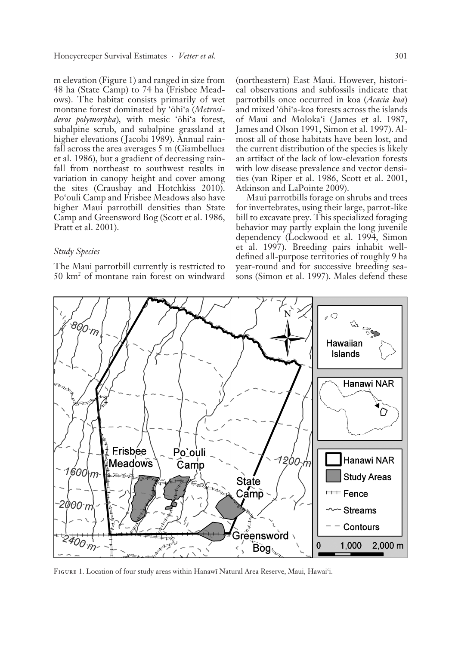m elevation (Figure 1) and ranged in size from 48 ha (State Camp) to 74 ha (Frisbee Meadows). The habitat consists primarily of wet montane forest dominated by 'öhi'a (*Metrosideros polymorpha*)*,* with mesic 'öhi'a forest, subalpine scrub, and subalpine grassland at higher elevations (Jacobi 1989). Annual rainfall across the area averages 5 m (Giambelluca et al. 1986), but a gradient of decreasing rainfall from northeast to southwest results in variation in canopy height and cover among the sites (Crausbay and Hotchkiss 2010). Po'ouli Camp and Frisbee Meadows also have higher Maui parrotbill densities than State Camp and Greensword Bog (Scott et al. 1986, Pratt et al. 2001).

## *Study Species*

The Maui parrotbill currently is restricted to 50 km2 of montane rain forest on windward

(northeastern) East Maui. However, historical observations and subfossils indicate that parrotbills once occurred in koa (*Acacia koa*) and mixed 'öhi'a-koa forests across the islands of Maui and Moloka'i (James et al. 1987, James and Olson 1991, Simon et al. 1997). Almost all of those habitats have been lost, and the current distribution of the species is likely an artifact of the lack of low-elevation forests with low disease prevalence and vector densities (van Riper et al. 1986, Scott et al. 2001, Atkinson and LaPointe 2009).

Maui parrotbills forage on shrubs and trees for invertebrates, using their large, parrot-like bill to excavate prey. This specialized foraging behavior may partly explain the long juvenile dependency (Lockwood et al. 1994, Simon et al. 1997). Breeding pairs inhabit welldefined all-purpose territories of roughly 9 ha year-round and for successive breeding seasons (Simon et al. 1997). Males defend these



Figure 1. Location of four study areas within Hanawï Natural Area Reserve, Maui, Hawai'i.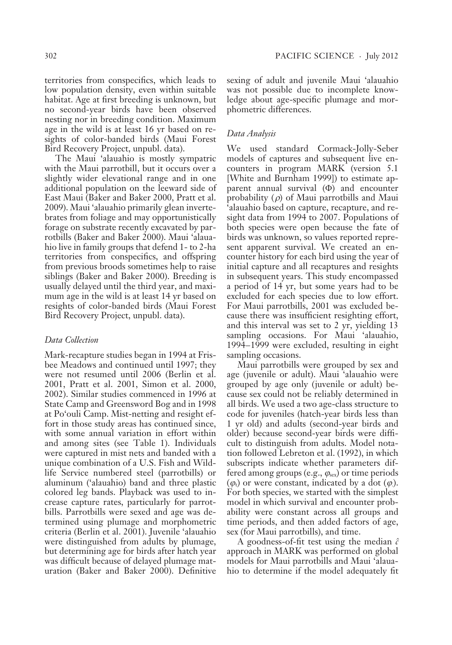territories from conspecifics, which leads to low population density, even within suitable habitat. Age at first breeding is unknown, but no second-year birds have been observed nesting nor in breeding condition. Maximum age in the wild is at least 16 yr based on resights of color-banded birds (Maui Forest Bird Recovery Project, unpubl. data).

The Maui 'alauahio is mostly sympatric with the Maui parrotbill, but it occurs over a slightly wider elevational range and in one additional population on the leeward side of East Maui (Baker and Baker 2000, Pratt et al. 2009). Maui 'alauahio primarily glean invertebrates from foliage and may opportunistically forage on substrate recently excavated by parrotbills (Baker and Baker 2000). Maui 'alauahio live in family groups that defend 1- to 2-ha territories from conspecifics, and offspring from previous broods sometimes help to raise siblings (Baker and Baker 2000). Breeding is usually delayed until the third year, and maximum age in the wild is at least 14 yr based on resights of color-banded birds (Maui Forest Bird Recovery Project, unpubl. data).

## *Data Collection*

Mark-recapture studies began in 1994 at Frisbee Meadows and continued until 1997; they were not resumed until 2006 (Berlin et al. 2001, Pratt et al. 2001, Simon et al. 2000, 2002). Similar studies commenced in 1996 at State Camp and Greensword Bog and in 1998 at Po'ouli Camp. Mist-netting and resight effort in those study areas has continued since, with some annual variation in effort within and among sites (see Table 1). Individuals were captured in mist nets and banded with a unique combination of a U.S. Fish and Wildlife Service numbered steel (parrotbills) or aluminum ('alauahio) band and three plastic colored leg bands. Playback was used to increase capture rates, particularly for parrotbills. Parrotbills were sexed and age was determined using plumage and morphometric criteria (Berlin et al. 2001). Juvenile 'alauahio were distinguished from adults by plumage, but determining age for birds after hatch year was difficult because of delayed plumage maturation (Baker and Baker 2000). Definitive sexing of adult and juvenile Maui 'alauahio was not possible due to incomplete knowledge about age-specific plumage and morphometric differences.

## *Data Analysis*

We used standard Cormack-Jolly-Seber models of captures and subsequent live encounters in program MARK (version 5.1 [White and Burnham 1999]) to estimate apparent annual survival (Φ) and encounter probability  $(\rho)$  of Maui parrotbills and Maui 'alauahio based on capture, recapture, and resight data from 1994 to 2007. Populations of both species were open because the fate of birds was unknown, so values reported represent apparent survival. We created an encounter history for each bird using the year of initial capture and all recaptures and resights in subsequent years. This study encompassed a period of 14 yr, but some years had to be excluded for each species due to low effort. For Maui parrotbills, 2001 was excluded because there was insufficient resighting effort, and this interval was set to 2 yr, yielding 13 sampling occasions. For Maui 'alauahio, 1994–1999 were excluded, resulting in eight sampling occasions.

Maui parrotbills were grouped by sex and age (juvenile or adult). Maui 'alauahio were grouped by age only (juvenile or adult) because sex could not be reliably determined in all birds. We used a two age-class structure to code for juveniles (hatch-year birds less than 1 yr old) and adults (second-year birds and older) because second-year birds were difficult to distinguish from adults. Model notation followed Lebreton et al. (1992), in which subscripts indicate whether parameters differed among groups (e.g., *ϕ*sex) or time periods  $(\varphi_t)$  or were constant, indicated by a dot  $(\varphi)$ . For both species, we started with the simplest model in which survival and encounter probability were constant across all groups and time periods, and then added factors of age, sex (for Maui parrotbills), and time.

A goodness-of-fit test using the median  $\hat{c}$ approach in MARK was performed on global models for Maui parrotbills and Maui 'alauahio to determine if the model adequately fit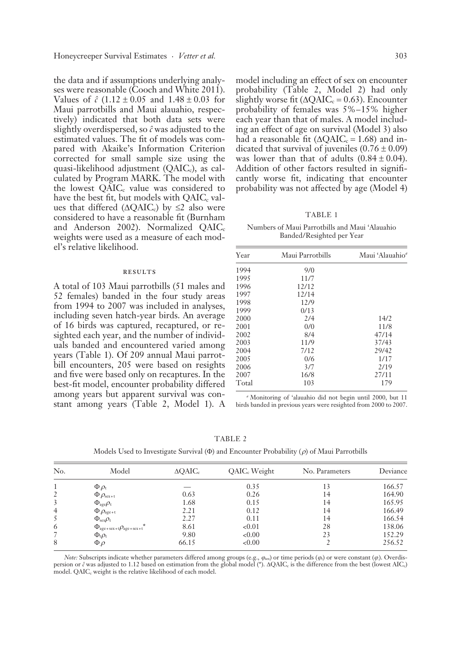the data and if assumptions underlying analyses were reasonable (Cooch and White 2011). Values of  $\hat{c}$  (1.12  $\pm$  0.05 and 1.48  $\pm$  0.03 for Maui parrotbills and Maui alauahio, respectively) indicated that both data sets were slightly overdispersed, so *cˆ* was adjusted to the estimated values. The fit of models was compared with Akaike's Information Criterion corrected for small sample size using the quasi-likelihood adjustment (QAIC<sub>c</sub>), as calculated by Program MARK. The model with the lowest QAIC<sub>c</sub> value was considered to have the best fit, but models with  $QAIC_c$  values that differed ( $\triangle QAIC_c$ ) by  $\leq 2$  also were considered to have a reasonable fit (Burnham and Anderson 2002). Normalized  $QAIC<sub>c</sub>$ weights were used as a measure of each model's relative likelihood.

#### **RESULTS**

A total of 103 Maui parrotbills (51 males and 52 females) banded in the four study areas from 1994 to 2007 was included in analyses, including seven hatch-year birds. An average of 16 birds was captured, recaptured, or resighted each year, and the number of individuals banded and encountered varied among years (Table 1). Of 209 annual Maui parrotbill encounters, 205 were based on resights and five were based only on recaptures. In the best-fit model, encounter probability differed among years but apparent survival was constant among years (Table 2, Model 1). A

model including an effect of sex on encounter probability (Table 2, Model 2) had only slightly worse fit ( $\triangle$ QAIC<sub>c</sub> = 0.63). **Encoder**probability of females was 5%–15% higher each year than that of males. A model including an effect of age on survival (Model 3) also had a reasonable fit ( $\triangle QAIC_c = 1.68$ ) and indicated that survival of juveniles  $(0.76 \pm 0.09)$ was lower than that of adults  $(0.84 \pm 0.04)$ . Addition of other factors resulted in significantly worse fit, indicating that encounter probability was not affected by age (Model 4)

TABLE 1

Numbers of Maui Parrotbills and Maui 'Alauahio Banded/Resighted per Year

| Year  | Maui Parrotbills | Maui 'Alauahio" |
|-------|------------------|-----------------|
| 1994  | 9/0              |                 |
| 1995  | 11/7             |                 |
| 1996  | 12/12            |                 |
| 1997  | 12/14            |                 |
| 1998  | 12/9             |                 |
| 1999  | 0/13             |                 |
| 2000  | 2/4              | 14/2            |
| 2001  | 0/0              | 11/8            |
| 2002  | 8/4              | 47/14           |
| 2003  | 11/9             | 37/43           |
| 2004  | 7/12             | 29/42           |
| 2005  | 0/6              | 1/17            |
| 2006  | 3/7              | 2/19            |
| 2007  | 16/8             | 27/11           |
| Total | 103              | 179             |
|       |                  |                 |

*a* Monitoring of 'alauahio did not begin until 2000, but 11 birds banded in previous years were resighted from 2000 to 2007.

| m, | ۰. |  |  |
|----|----|--|--|
|    |    |  |  |

Models Used to Investigate Survival (Φ) and Encounter Probability ( *ρ*) of Maui Parrotbills

| No. | Model                                                                     | $\triangle$ OAIC <sub>c</sub> | QAIC <sub>c</sub> Weight | No. Parameters | Deviance |
|-----|---------------------------------------------------------------------------|-------------------------------|--------------------------|----------------|----------|
|     | $\Phi_{\cdot} \rho_{\rm t}$                                               |                               | 0.35                     |                | 166.57   |
| 2   | $\Phi_{\rho_{\text{sex}+t}}$                                              | 0.63                          | 0.26                     | 14             | 164.90   |
| 3   | $\Phi_{\text{age}}\rho_{\text{t}}$                                        | 1.68                          | 0.15                     | 14             | 165.95   |
| 4   | $\Phi_{.}\rho_{\text{age}+\text{t}}$                                      | 2.21                          | 0.12                     | 14             | 166.49   |
| 5   | $\Phi_{\text{sex}}\rho_{\text{t}}$                                        | 2.27                          | 0.11                     | 14             | 166.54   |
| 6   | $\Phi_{\text{age} + \text{sex} + t}$ $\rho_{\text{age} + \text{sex} + t}$ | 8.61                          | < 0.01                   | 28             | 138.06   |
|     | $\Phi_{t}\rho_{t}$                                                        | 9.80                          | < 0.00                   | 23             | 152.29   |
| 8   | $\Phi$ . $\rho$                                                           | 66.15                         | < 0.00                   |                | 256.52   |

*Note:* Subscripts indicate whether parameters differed among groups (e.g.,  $\varphi_{\text{sc}}$ ) or time periods ( $\varphi$ ) or were constant ( $\varphi$ ). Overdispersion or  $\hat{c}$  was adjusted to 1.12 based on estimation from the global model (\*). ΔQAIC<sub>c</sub> is the difference from the best (lowest AIC<sub>c</sub>) model. QAIC<sub>c</sub> weight is the relative likelihood of each model.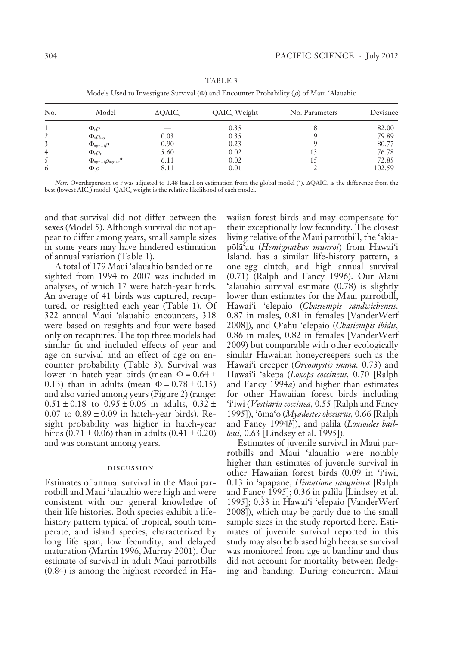| No. | Model                                                  | $\triangle$ QAIC <sub>c</sub> | QAIC <sub>c</sub> Weight | No. Parameters | Deviance |
|-----|--------------------------------------------------------|-------------------------------|--------------------------|----------------|----------|
|     | $\Phi_{t}\rho$                                         |                               | 0.35                     |                | 82.00    |
| 2   | $\Phi_{\rm t}\rho_{\rm age}$                           | 0.03                          | 0.35                     |                | 79.89    |
| 3   | $\Phi_{\text{age}+\text{t}}\rho$                       | 0.90                          | 0.23                     |                | 80.77    |
| 4   | $\Phi_{t}\rho_{t}$                                     | 5.60                          | 0.02                     |                | 76.78    |
|     | $\Phi_{\text{age}+\text{t}}\rho_{\text{age}+\text{t}}$ | 6.11                          | 0.02                     |                | 72.85    |
| 6   | $\Phi \rho$                                            | 8.11                          | 0.01                     |                | 102.59   |

TABLE 3

Models Used to Investigate Survival (Φ) and Encounter Probability ( *ρ*) of Maui 'Alauahio

*Note:* Overdispersion or  $\hat{c}$  was adjusted to 1.48 based on estimation from the global model (\*). ΔQAIC<sub>c</sub> is the difference from the best (lowest  $AIC_c$ ) model. QAI $C_c$  weight is the relative likelihood of each model.

and that survival did not differ between the sexes (Model 5). Although survival did not appear to differ among years, small sample sizes in some years may have hindered estimation of annual variation (Table 1).

A total of 179 Maui 'alauahio banded or resighted from 1994 to 2007 was included in analyses, of which 17 were hatch-year birds. An average of 41 birds was captured, recaptured, or resighted each year (Table 1). Of 322 annual Maui 'alauahio encounters, 318 were based on resights and four were based only on recaptures. The top three models had similar fit and included effects of year and age on survival and an effect of age on encounter probability (Table 3). Survival was lower in hatch-year birds (mean  $\Phi = 0.64 \pm$ 0.13) than in adults (mean  $\Phi = 0.78 \pm 0.15$ ) and also varied among years (Figure 2) (range:  $0.51 \pm 0.18$  to  $0.95 \pm 0.06$  in adults,  $0.32 \pm 0.06$  $0.07$  to  $0.89 \pm 0.09$  in hatch-year birds). Resight probability was higher in hatch-year birds (0.71  $\pm$  0.06) than in adults (0.41  $\pm$  0.20) and was constant among years.

#### discussion

Estimates of annual survival in the Maui parrotbill and Maui 'alauahio were high and were consistent with our general knowledge of their life histories. Both species exhibit a lifehistory pattern typical of tropical, south temperate, and island species, characterized by long life span, low fecundity, and delayed maturation (Martin 1996, Murray 2001). Our estimate of survival in adult Maui parrotbills (0.84) is among the highest recorded in Hawaiian forest birds and may compensate for their exceptionally low fecundity. The closest living relative of the Maui parrotbill, the 'akiapölä'au (*Hemignathus munroi*) from Hawai'i Island, has a similar life-history pattern, a one-egg clutch, and high annual survival (0.71) (Ralph and Fancy 1996). Our Maui 'alauahio survival estimate (0.78) is slightly lower than estimates for the Maui parrotbill, Hawai'i 'elepaio (*Chasiempis sandwichensis,*  0.87 in males, 0.81 in females [VanderWerf 2008]), and O'ahu 'elepaio (*Chasiempis ibidis,* 0.86 in males, 0.82 in females [VanderWerf 2009) but comparable with other ecologically similar Hawaiian honeycreepers such as the Hawai'i creeper (*Oreomystis mana,* 0.73) and Hawai'i 'äkepa (*Loxops coccineus,* 0.70 [Ralph and Fancy 1994*a*) and higher than estimates for other Hawaiian forest birds including 'i'iwi ( *Vestiaria coccinea,* 0.55 [Ralph and Fancy 1995]), 'öma'o (*Myadestes obscurus,* 0.66 [Ralph and Fancy 1994*b*]), and palila (*Loxioides bailleui,* 0.63 [Lindsey et al. 1995]).

Estimates of juvenile survival in Maui parrotbills and Maui 'alauahio were notably higher than estimates of juvenile survival in other Hawaiian forest birds (0.09 in 'i'iwi, 0.13 in 'apapane, *Himatione sanguinea* [Ralph and Fancy 1995]; 0.36 in palila [Lindsey et al. 1995]; 0.33 in Hawai'i 'elepaio [VanderWerf  $2008$ ]), which may be partly due to the small sample sizes in the study reported here. Estimates of juvenile survival reported in this study may also be biased high because survival was monitored from age at banding and thus did not account for mortality between fledging and banding. During concurrent Maui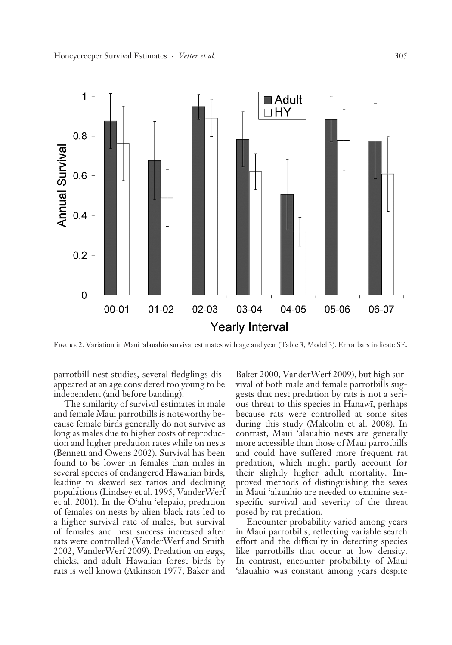

Figure 2. Variation in Maui 'alauahio survival estimates with age and year (Table 3, Model 3). Error bars indicate SE.

parrotbill nest studies, several fledglings disappeared at an age considered too young to be independent (and before banding).

The similarity of survival estimates in male and female Maui parrotbills is noteworthy because female birds generally do not survive as long as males due to higher costs of reproduction and higher predation rates while on nests (Bennett and Owens 2002). Survival has been found to be lower in females than males in several species of endangered Hawaiian birds, leading to skewed sex ratios and declining populations (Lindsey et al. 1995, VanderWerf et al. 2001). In the O'ahu 'elepaio, predation of females on nests by alien black rats led to a higher survival rate of males, but survival of females and nest success increased after rats were controlled ( VanderWerf and Smith 2002, VanderWerf 2009). Predation on eggs, chicks, and adult Hawaiian forest birds by rats is well known (Atkinson 1977, Baker and

Baker 2000, VanderWerf 2009), but high survival of both male and female parrotbills suggests that nest predation by rats is not a serious threat to this species in Hanawï, perhaps because rats were controlled at some sites during this study (Malcolm et al. 2008). In contrast, Maui 'alauahio nests are generally more accessible than those of Maui parrotbills and could have suffered more frequent rat predation, which might partly account for their slightly higher adult mortality. Improved methods of distinguishing the sexes in Maui 'alauahio are needed to examine sexspecific survival and severity of the threat posed by rat predation.

Encounter probability varied among years in Maui parrotbills, reflecting variable search effort and the difficulty in detecting species like parrotbills that occur at low density. In contrast, encounter probability of Maui 'alauahio was constant among years despite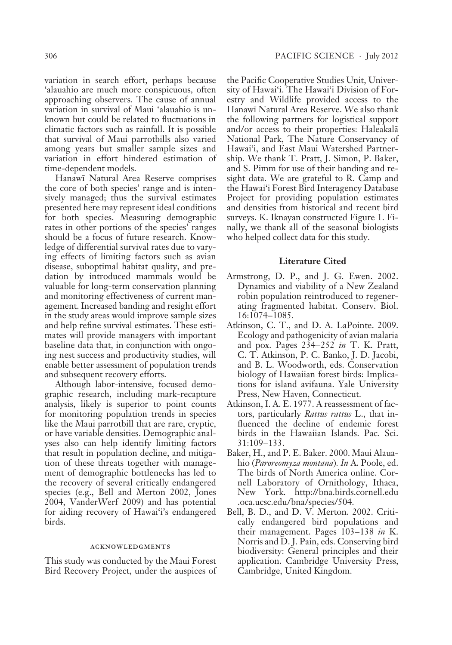variation in search effort, perhaps because 'alauahio are much more conspicuous, often approaching observers. The cause of annual variation in survival of Maui 'alauahio is unknown but could be related to fluctuations in climatic factors such as rainfall. It is possible that survival of Maui parrotbills also varied among years but smaller sample sizes and variation in effort hindered estimation of time-dependent models.

Hanawï Natural Area Reserve comprises the core of both species' range and is intensively managed; thus the survival estimates presented here may represent ideal conditions for both species. Measuring demographic rates in other portions of the species' ranges should be a focus of future research. Knowledge of differential survival rates due to varying effects of limiting factors such as avian disease, suboptimal habitat quality, and predation by introduced mammals would be valuable for long-term conservation planning and monitoring effectiveness of current management. Increased banding and resight effort in the study areas would improve sample sizes and help refine survival estimates. These estimates will provide managers with important baseline data that, in conjunction with ongoing nest success and productivity studies, will enable better assessment of population trends and subsequent recovery efforts.

Although labor-intensive, focused demographic research, including mark-recapture analysis, likely is superior to point counts for monitoring population trends in species like the Maui parrotbill that are rare, cryptic, or have variable densities. Demographic analyses also can help identify limiting factors that result in population decline, and mitigation of these threats together with management of demographic bottlenecks has led to the recovery of several critically endangered species (e.g., Bell and Merton 2002, Jones 2004, VanderWerf 2009) and has potential for aiding recovery of Hawai'i's endangered birds.

### acknowledgments

This study was conducted by the Maui Forest Bird Recovery Project, under the auspices of the Pacific Cooperative Studies Unit, University of Hawai'i. The Hawai'i Division of Forestry and Wildlife provided access to the Hanawï Natural Area Reserve. We also thank the following partners for logistical support and/or access to their properties: Haleakalä National Park, The Nature Conservancy of Hawai'i, and East Maui Watershed Partnership. We thank T. Pratt, J. Simon, P. Baker, and S. Pimm for use of their banding and resight data. We are grateful to R. Camp and the Hawai'i Forest Bird Interagency Database Project for providing population estimates and densities from historical and recent bird surveys. K. Iknayan constructed Figure 1. Finally, we thank all of the seasonal biologists who helped collect data for this study.

### **Literature Cited**

- Armstrong, D. P., and J. G. Ewen. 2002. Dynamics and viability of a New Zealand robin population reintroduced to regenerating fragmented habitat. Conserv. Biol. 16:1074–1085.
- Atkinson, C. T., and D. A. LaPointe. 2009. Ecology and pathogenicity of avian malaria and pox. Pages 234–252 *in* T. K. Pratt, C. T. Atkinson, P. C. Banko, J. D. Jacobi, and B. L. Woodworth, eds. Conservation biology of Hawaiian forest birds: Implications for island avifauna. Yale University Press, New Haven, Connecticut.
- Atkinson, I. A. E. 1977. A reassessment of factors, particularly *Rattus rattus* L., that influenced the decline of endemic forest birds in the Hawaiian Islands. Pac. Sci. 31:109–133.
- Baker, H., and P. E. Baker. 2000. Maui Alauahio (*Paroreomyza montana*)*. In* A. Poole, ed. The birds of North America online. Cornell Laboratory of Ornithology, Ithaca, New York. http://bna.birds.cornell.edu .oca.ucsc.edu/bna/species/504.
- Bell, B. D., and D. V. Merton. 2002. Critically endangered bird populations and their management. Pages 103–138 *in* K. Norris and D. J. Pain, eds. Conserving bird biodiversity: General principles and their application. Cambridge University Press, Cambridge, United Kingdom.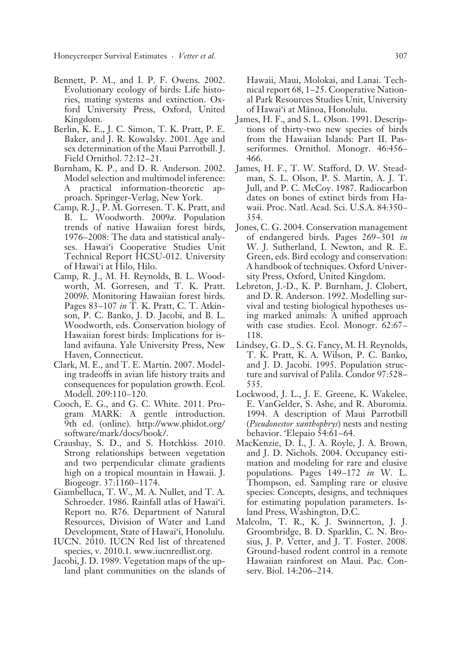Honeycreeper Survival Estimates · *Vetter et al.* 307

- Bennett, P. M., and I. P. F. Owens. 2002. Evolutionary ecology of birds: Life histories, mating systems and extinction. Oxford University Press, Oxford, United Kingdom.
- Berlin, K. E., J. C. Simon, T. K. Pratt, P. E. Baker, and J. R. Kowalsky. 2001. Age and sex determination of the Maui Parrotbill. J. Field Ornithol. 72:12–21.
- Burnham, K. P., and D. R. Anderson. 2002. Model selection and multimodel inference: A practical information-theoretic approach. Springer-Verlag, New York.
- Camp, R. J., P. M. Gorresen. T. K. Pratt, and B. L. Woodworth. 2009*a*. Population trends of native Hawaiian forest birds, 1976–2008: The data and statistical analyses. Hawai'i Cooperative Studies Unit Technical Report HCSU-012. University of Hawai'i at Hilo, Hilo.
- Camp, R. J., M. H. Reynolds, B. L. Woodworth, M. Gorresen, and T. K. Pratt. 2009*b*. Monitoring Hawaiian forest birds. Pages 83–107 *in* T. K. Pratt, C. T. Atkinson, P. C. Banko, J. D. Jacobi, and B. L. Woodworth, eds. Conservation biology of Hawaiian forest birds: Implications for island avifauna. Yale University Press, New Haven, Connecticut.
- Clark, M. E., and T. E. Martin. 2007. Modeling tradeoffs in avian life history traits and consequences for population growth. Ecol. Modell. 209:110–120.
- Cooch, E. G., and G. C. White. 2011. Program MARK: A gentle introduction. 9th ed. (online). http://www.phidot.org/ software/mark /docs/book /.
- Crausbay, S. D., and S. Hotchkiss. 2010. Strong relationships between vegetation and two perpendicular climate gradients high on a tropical mountain in Hawaii. J. Biogeogr. 37:1160–1174.
- Giambelluca, T. W., M. A. Nullet, and T. A. Schroeder. 1986. Rainfall atlas of Hawai'i. Report no. R76. Department of Natural Resources, Division of Water and Land Development, State of Hawai'i, Honolulu.
- IUCN. 2010. IUCN Red list of threatened species, v. 2010.1. www.iucnredlist.org.
- Jacobi, J. D. 1989. Vegetation maps of the upland plant communities on the islands of

Hawaii, Maui, Molokai, and Lanai. Technical report 68, 1–25. Cooperative National Park Resources Studies Unit, University of Hawai'i at Mänoa, Honolulu.

- James, H. F., and S. L. Olson. 1991. Descriptions of thirty-two new species of birds from the Hawaiian Islands: Part II. Passeriformes. Ornithol. Monogr. 46:456– 466.
- James, H. F., T. W. Stafford, D. W. Steadman, S. L. Olson, P. S. Martin, A. J. T. Jull, and P. C. McCoy. 1987. Radiocarbon dates on bones of extinct birds from Hawaii. Proc. Natl. Acad. Sci. U.S.A. 84:350– 354.
- Jones, C. G. 2004. Conservation management of endangered birds. Pages 269–301 *in* W. J. Sutherland, I. Newton, and R. E. Green, eds. Bird ecology and conservation: A handbook of techniques. Oxford University Press, Oxford, United Kingdom.
- Lebreton, J.-D., K. P. Burnham, J. Clobert, and D. R. Anderson. 1992. Modelling survival and testing biological hypotheses using marked animals: A unified approach with case studies. Ecol. Monogr. 62:67– 118.
- Lindsey, G. D., S. G. Fancy, M. H. Reynolds, T. K. Pratt, K. A. Wilson, P. C. Banko, and J. D. Jacobi. 1995. Population structure and survival of Palila. Condor 97:528– 535.
- Lockwood, J. L., J. E. Greene, K. Wakelee, E. VanGelder, S. Ashe, and R. Aburomia. 1994. A description of Maui Parrotbill (*Pseudonestor xanthophrys*) nests and nesting behavior. 'Elepaio 54:61–64.
- MacKenzie, D. I., J. A. Royle, J. A. Brown, and J. D. Nichols. 2004. Occupancy estimation and modeling for rare and elusive populations. Pages 149–172 *in* W. L. Thompson, ed. Sampling rare or elusive species: Concepts, designs, and techniques for estimating population parameters. Island Press, Washington, D.C.
- Malcolm, T. R., K. J. Swinnerton, J. J. Groombridge, B. D. Sparklin, C. N. Brosius, J. P. Vetter, and J. T. Foster. 2008. Ground-based rodent control in a remote Hawaiian rainforest on Maui. Pac. Conserv. Biol. 14:206–214.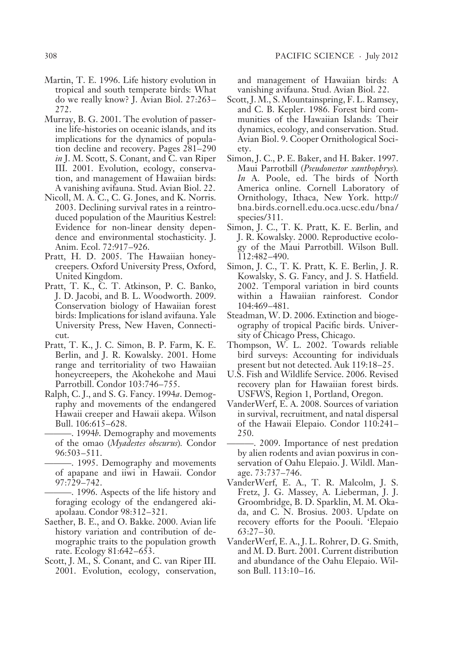- Martin, T. E. 1996. Life history evolution in tropical and south temperate birds: What do we really know? J. Avian Biol. 27:263– 272.
- Murray, B. G. 2001. The evolution of passerine life-histories on oceanic islands, and its implications for the dynamics of population decline and recovery. Pages 281–290 *in* J. M. Scott, S. Conant, and C. van Riper III. 2001. Evolution, ecology, conservation, and management of Hawaiian birds: A vanishing avifauna. Stud. Avian Biol. 22.
- Nicoll, M. A. C., C. G. Jones, and K. Norris. 2003. Declining survival rates in a reintroduced population of the Mauritius Kestrel: Evidence for non-linear density dependence and environmental stochasticity. J. Anim. Ecol. 72:917–926.
- Pratt, H. D. 2005. The Hawaiian honeycreepers. Oxford University Press, Oxford, United Kingdom.
- Pratt, T. K., C. T. Atkinson, P. C. Banko, J. D. Jacobi, and B. L. Woodworth. 2009. Conservation biology of Hawaiian forest birds: Implications for island avifauna. Yale University Press, New Haven, Connecticut.
- Pratt, T. K., J. C. Simon, B. P. Farm, K. E. Berlin, and J. R. Kowalsky. 2001. Home range and territoriality of two Hawaiian honeycreepers, the Akohekohe and Maui Parrotbill. Condor 103:746–755.
- Ralph, C. J., and S. G. Fancy. 1994*a*. Demography and movements of the endangered Hawaii creeper and Hawaii akepa. Wilson Bull. 106:615–628.
	- ———. 1994*b*. Demography and movements of the omao (*Myadestes obscurus*)*.* Condor 96:503–511.
	- -. 1995. Demography and movements of apapane and iiwi in Hawaii. Condor 97:729–742.
	- ———. 1996. Aspects of the life history and foraging ecology of the endangered akiapolaau. Condor 98:312–321.
- Saether, B. E., and O. Bakke. 2000. Avian life history variation and contribution of demographic traits to the population growth rate. Ecology 81:642–653.
- Scott, J. M., S. Conant, and C. van Riper III. 2001. Evolution, ecology, conservation,

and management of Hawaiian birds: A vanishing avifauna. Stud. Avian Biol. 22.

- Scott, J. M., S. Mountainspring, F. L. Ramsey, and C. B. Kepler. 1986. Forest bird communities of the Hawaiian Islands: Their dynamics, ecology, and conservation. Stud. Avian Biol. 9. Cooper Ornithological Society.
- Simon, J. C., P. E. Baker, and H. Baker. 1997. Maui Parrotbill (*Pseudonestor xanthophrys*)*. In* A. Poole, ed. The birds of North America online. Cornell Laboratory of Ornithology, Ithaca, New York. http:// bna.birds.cornell.edu.oca.ucsc.edu/bna/ species/311.
- Simon, J. C., T. K. Pratt, K. E. Berlin, and J. R. Kowalsky. 2000. Reproductive ecology of the Maui Parrotbill. Wilson Bull. 112:482–490.
- Simon, J. C., T. K. Pratt, K. E. Berlin, J. R. Kowalsky, S. G. Fancy, and J. S. Hatfield. 2002. Temporal variation in bird counts within a Hawaiian rainforest. Condor 104:469–481.
- Steadman, W. D. 2006. Extinction and biogeography of tropical Pacific birds. University of Chicago Press, Chicago.
- Thompson, W. L. 2002. Towards reliable bird surveys: Accounting for individuals present but not detected. Auk 119:18–25.
- U.S. Fish and Wildlife Service. 2006. Revised recovery plan for Hawaiian forest birds. USFWS, Region 1, Portland, Oregon.
- VanderWerf, E. A. 2008. Sources of variation in survival, recruitment, and natal dispersal of the Hawaii Elepaio. Condor 110:241– 250.
- ———. 2009. Importance of nest predation by alien rodents and avian poxvirus in conservation of Oahu Elepaio. J. Wildl. Manage. 73:737–746.
- VanderWerf, E. A., T. R. Malcolm, J. S. Fretz, J. G. Massey, A. Lieberman, J. J. Groombridge, B. D. Sparklin, M. M. Okada, and C. N. Brosius. 2003. Update on recovery efforts for the Poouli. 'Elepaio 63:27–30.
- VanderWerf, E. A., J. L. Rohrer, D. G. Smith, and M. D. Burt. 2001. Current distribution and abundance of the Oahu Elepaio. Wilson Bull. 113:10–16.